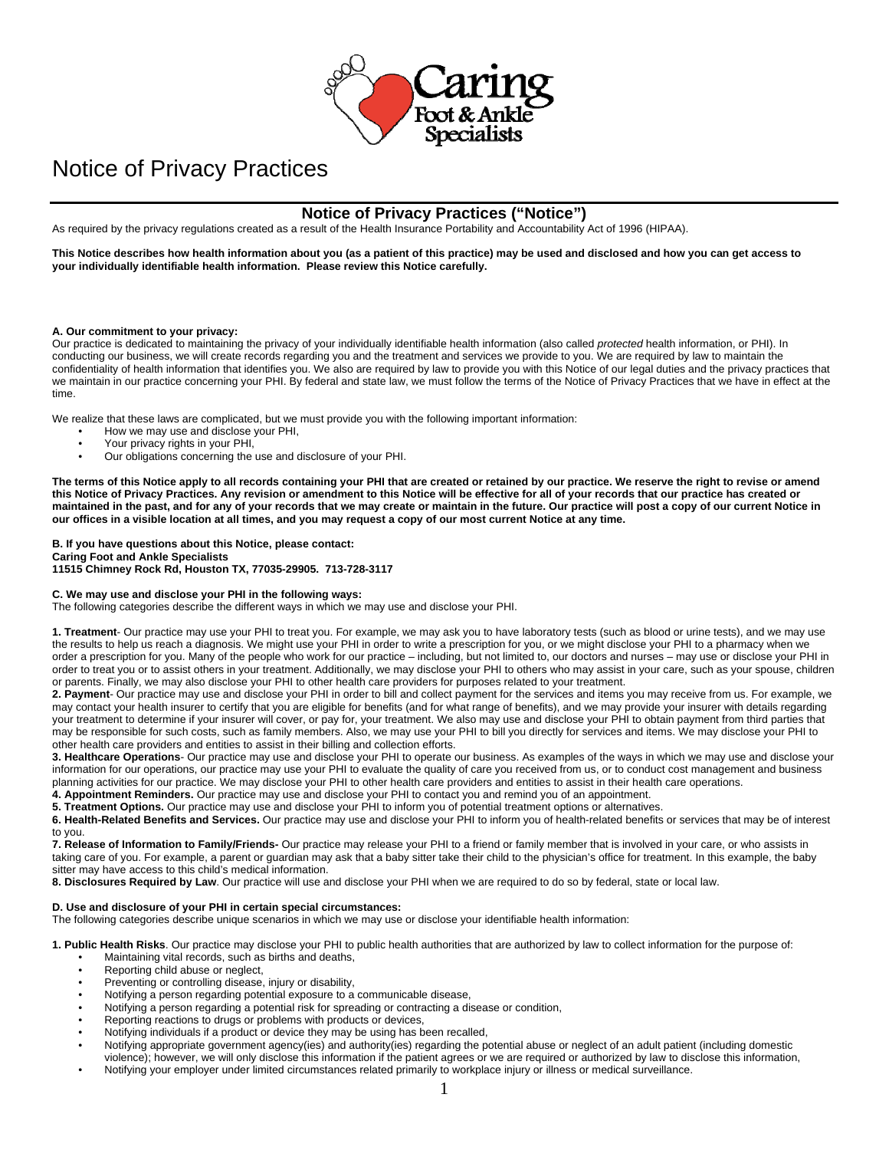

# Notice of Privacy Practices

# **Notice of Privacy Practices ("Notice")**

As required by the privacy regulations created as a result of the Health Insurance Portability and Accountability Act of 1996 (HIPAA).

**This Notice describes how health information about you (as a patient of this practice) may be used and disclosed and how you can get access to your individually identifiable health information. Please review this Notice carefully.** 

### **A. Our commitment to your privacy:**

Our practice is dedicated to maintaining the privacy of your individually identifiable health information (also called *protected* health information, or PHI). In conducting our business, we will create records regarding you and the treatment and services we provide to you. We are required by law to maintain the confidentiality of health information that identifies you. We also are required by law to provide you with this Notice of our legal duties and the privacy practices that we maintain in our practice concerning your PHI. By federal and state law, we must follow the terms of the Notice of Privacy Practices that we have in effect at the time.

We realize that these laws are complicated, but we must provide you with the following important information:

- How we may use and disclose your PHI,
- Your privacy rights in your PHI,
- Our obligations concerning the use and disclosure of your PHI.

**The terms of this Notice apply to all records containing your PHI that are created or retained by our practice. We reserve the right to revise or amend this Notice of Privacy Practices. Any revision or amendment to this Notice will be effective for all of your records that our practice has created or maintained in the past, and for any of your records that we may create or maintain in the future. Our practice will post a copy of our current Notice in our offices in a visible location at all times, and you may request a copy of our most current Notice at any time.** 

**B. If you have questions about this Notice, please contact: Caring Foot and Ankle Specialists 11515 Chimney Rock Rd, Houston TX, 77035-29905. 713-728-3117** 

# **C. We may use and disclose your PHI in the following ways:**

The following categories describe the different ways in which we may use and disclose your PHI.

**1. Treatment**- Our practice may use your PHI to treat you. For example, we may ask you to have laboratory tests (such as blood or urine tests), and we may use the results to help us reach a diagnosis. We might use your PHI in order to write a prescription for you, or we might disclose your PHI to a pharmacy when we order a prescription for you. Many of the people who work for our practice – including, but not limited to, our doctors and nurses – may use or disclose your PHI in order to treat you or to assist others in your treatment. Additionally, we may disclose your PHI to others who may assist in your care, such as your spouse, children or parents. Finally, we may also disclose your PHI to other health care providers for purposes related to your treatment.

**2. Payment**- Our practice may use and disclose your PHI in order to bill and collect payment for the services and items you may receive from us. For example, we may contact your health insurer to certify that you are eligible for benefits (and for what range of benefits), and we may provide your insurer with details regarding your treatment to determine if your insurer will cover, or pay for, your treatment. We also may use and disclose your PHI to obtain payment from third parties that may be responsible for such costs, such as family members. Also, we may use your PHI to bill you directly for services and items. We may disclose your PHI to other health care providers and entities to assist in their billing and collection efforts.

**3. Healthcare Operations**- Our practice may use and disclose your PHI to operate our business. As examples of the ways in which we may use and disclose your information for our operations, our practice may use your PHI to evaluate the quality of care you received from us, or to conduct cost management and business planning activities for our practice. We may disclose your PHI to other health care providers and entities to assist in their health care operations.

**4. Appointment Reminders.** Our practice may use and disclose your PHI to contact you and remind you of an appointment.

**5. Treatment Options.** Our practice may use and disclose your PHI to inform you of potential treatment options or alternatives. **6. Health-Related Benefits and Services.** Our practice may use and disclose your PHI to inform you of health-related benefits or services that may be of interest to you.

**7. Release of Information to Family/Friends-** Our practice may release your PHI to a friend or family member that is involved in your care, or who assists in taking care of you. For example, a parent or guardian may ask that a baby sitter take their child to the physician's office for treatment. In this example, the baby sitter may have access to this child's medical information.

**8. Disclosures Required by Law**. Our practice will use and disclose your PHI when we are required to do so by federal, state or local law.

## **D. Use and disclosure of your PHI in certain special circumstances:**

The following categories describe unique scenarios in which we may use or disclose your identifiable health information:

**1. Public Health Risks**. Our practice may disclose your PHI to public health authorities that are authorized by law to collect information for the purpose of: • Maintaining vital records, such as births and deaths,

- Reporting child abuse or neglect,
- Preventing or controlling disease, injury or disability,
- Notifying a person regarding potential exposure to a communicable disease,
- Notifying a person regarding a potential risk for spreading or contracting a disease or condition,
- Reporting reactions to drugs or problems with products or devices,
- Notifying individuals if a product or device they may be using has been recalled,
- Notifying appropriate government agency(ies) and authority(ies) regarding the potential abuse or neglect of an adult patient (including domestic
- violence); however, we will only disclose this information if the patient agrees or we are required or authorized by law to disclose this information,
- Notifying your employer under limited circumstances related primarily to workplace injury or illness or medical surveillance.